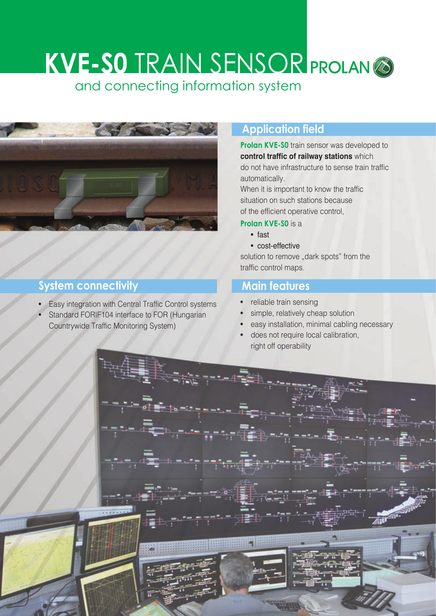# **KVE-S0** TRAIN SENSOR and connecting information system



## **System connectivity**

- Easy integration with Central Traffic Control systems
- Standard FORIF104 interface to FOR (Hungarian Countrywide Traffic Monitoring System)

# **Application field**

**Prolan KVE-S0** train sensor was developed to **control traffic of railway stations** which do not have infrastructure to sense train traffic automatically.

When it is important to know the traffic situation on such stations because of the efficient operative control,

#### **Prolan KVE-S0** is a

- fast
- cost-effective

solution to remove "dark spots" from the traffic control maps.

### **Main features**

- reliable train sensing
- simple, relatively cheap solution
- easy installation, minimal cabling necessary
- does not require local calibration, right off operability